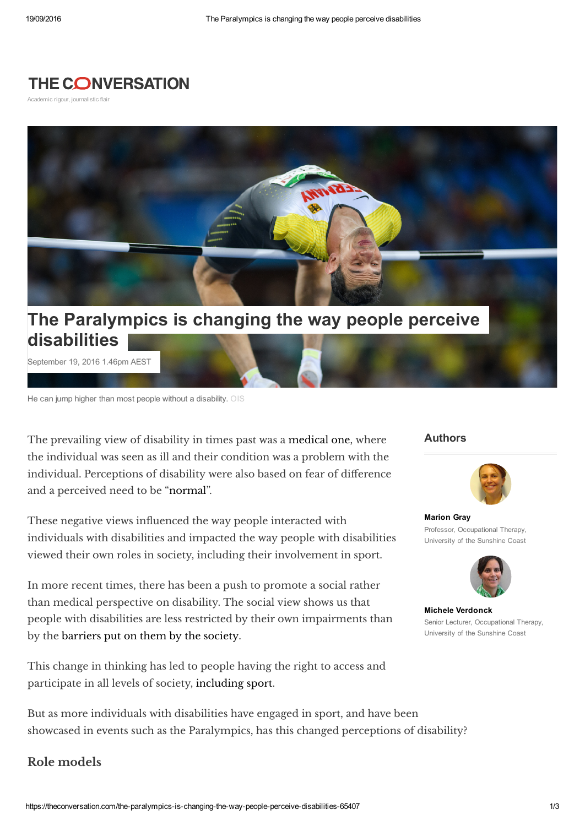## **THE CONVERSATION**

Academic rigour, journalistic flair



## disabilities

September 19, 2016 1.46pm AEST

He can jump higher than most people without a disability. OIS

The prevailing view of disability in times past was a [medical](http://www.pwd.org.au/student-section/the-social-model-of-disability.html) one, where the individual was seen as ill and their condition was a problem with the individual. Perceptions of disability were also based on fear of difference and a perceived need to be ["normal"](http://jss.sagepub.com/content/28/4/429.short).

These negative views influenced the way people interacted with individuals with disabilities and impacted the way people with disabilities viewed their own roles in society, including their involvement in sport.

In more recent times, there has been a push to promote a social rather than medical perspective on disability. The social view shows us that people with disabilities are less restricted by their own impairments than by the [barriers](http://qhr.sagepub.com/content/15/8/1037.short) put on them by the society.

This change in thinking has led to people having the right to access and participate in all levels of society, [including](http://rsh.sagepub.com/content/132/2/68.short) sport.

But as more individuals with disabilities have engaged in sport, and have been showcased in events such as the Paralympics, has this changed perceptions of disability?

## Role models

## Authors



[Marion](https://theconversation.com/profiles/marion-gray-299473) Gray Professor, Occupational Therapy, University of the Sunshine Coast



Michele [Verdonck](https://theconversation.com/profiles/michele-verdonck-299475) Senior Lecturer, Occupational Therapy, University of the Sunshine Coast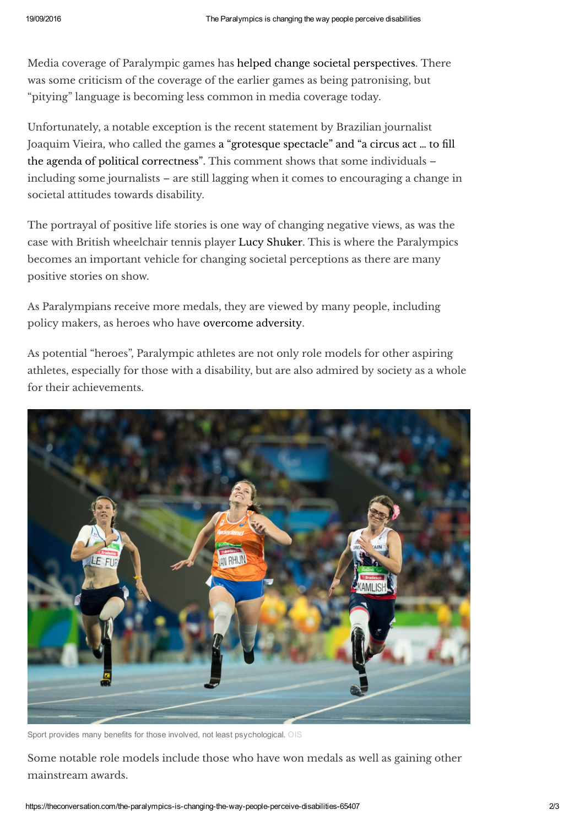Media coverage of Paralympic games has helped change societal [perspectives.](http://connection.ebscohost.com/c/articles/69709610/essays-paralympic-movement-doubts-certainties-1) There was some criticism of the coverage of the earlier games as being patronising, but "pitying" language is becoming less common in media coverage today.

Unfortunately, a notable exception is the recent statement by Brazilian journalist Joaquim Vieira, who called the games a "grotesque spectacle" and "a circus act … to fill the agenda of political [correctness".](http://www.brasilpost.com.br/2016/09/12/paralimpiada-preconceito_n_11970120.html) This comment shows that some individuals – including some journalists – are still lagging when it comes to encouraging a change in societal attitudes towards disability.

The portrayal of positive life stories is one way of changing negative views, as was the case with British wheelchair tennis player Lucy [Shuker.](http://rsh.sagepub.com/content/132/2/68.short) This is where the Paralympics becomes an important vehicle for changing societal perceptions as there are many positive stories on show.

As Paralympians receive more medals, they are viewed by many people, including policy makers, as heroes who have [overcome](http://www.tandfonline.com/doi/abs/10.1080/17430437.2011.614765) adversity.

As potential "heroes", Paralympic athletes are not only role models for other aspiring athletes, especially for those with a disability, but are also admired by society as a whole for their achievements.



Sport provides many benefits for those involved, not least psychological. OIS

Some notable role models include those who have won medals as well as gaining other mainstream awards.